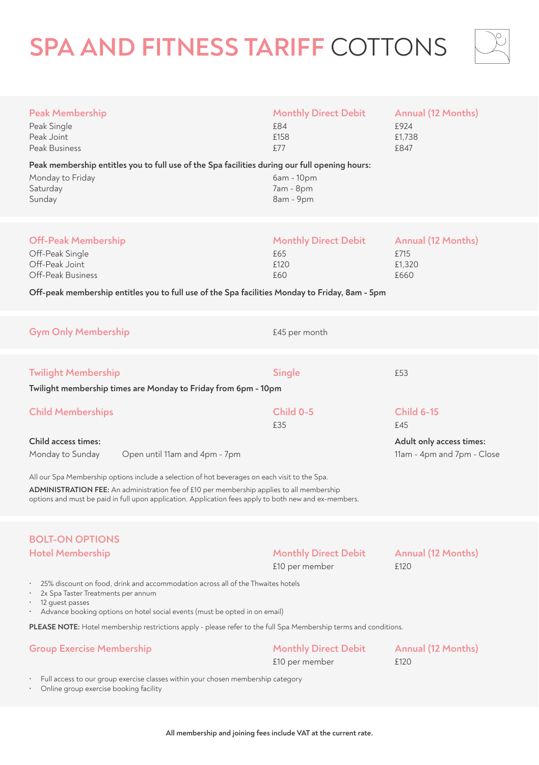# **SPA AND FITNESS TARIFF** COTTONS



| <b>Peak Membership</b><br>Peak Single<br>Peak Joint<br>Peak Business<br>Peak membership entitles you to full use of the Spa facilities during our full opening hours:<br>Monday to Friday<br>Saturday<br>Sunday                                                                                                                                                                                             | <b>Monthly Direct Debit</b><br>£84<br>£158<br>£77<br>6am - 10pm<br>7am - 8pm<br>8am - 9pm | Annual (12 Months)<br>£924<br>£1,738<br>£847                                       |  |
|-------------------------------------------------------------------------------------------------------------------------------------------------------------------------------------------------------------------------------------------------------------------------------------------------------------------------------------------------------------------------------------------------------------|-------------------------------------------------------------------------------------------|------------------------------------------------------------------------------------|--|
| <b>Off-Peak Membership</b><br>Off-Peak Single<br>Off-Peak Joint<br>Off-Peak Business<br>Off-peak membership entitles you to full use of the Spa facilities Monday to Friday, 8am - 5pm                                                                                                                                                                                                                      | <b>Monthly Direct Debit</b><br>£65<br>£120<br>£60                                         | Annual (12 Months)<br>£715<br>£1,320<br>£660                                       |  |
| <b>Gym Only Membership</b>                                                                                                                                                                                                                                                                                                                                                                                  | £45 per month                                                                             |                                                                                    |  |
| <b>Twilight Membership</b><br>Twilight membership times are Monday to Friday from 6pm - 10pm                                                                                                                                                                                                                                                                                                                | Single                                                                                    | £53                                                                                |  |
| <b>Child Memberships</b><br>Child access times:<br>Monday to Sunday<br>Open until 11am and 4pm - 7pm<br>All our Spa Membership options include a selection of hot beverages on each visit to the Spa.<br>ADMINISTRATION FEE: An administration fee of £10 per membership applies to all membership<br>options and must be paid in full upon application. Application fees apply to both new and ex-members. | Child 0-5<br>£35                                                                          | <b>Child 6-15</b><br>£45<br>Adult only access times:<br>11am - 4pm and 7pm - Close |  |
| <b>BOLT-ON OPTIONS</b><br><b>Hotel Membership</b><br>25% discount on food, drink and accommodation across all of the Thwaites hotels<br>2x Spa Taster Treatments per annum<br>$\ddot{\phantom{0}}$<br>12 guest passes<br>Advance booking options on hotel social events (must be opted in on email)                                                                                                         | <b>Monthly Direct Debit</b><br>£10 per member                                             | Annual (12 Months)<br>£120                                                         |  |
| PLEASE NOTE: Hotel membership restrictions apply - please refer to the full Spa Membership terms and conditions.                                                                                                                                                                                                                                                                                            |                                                                                           |                                                                                    |  |

| <b>Group Exercise Membership</b> | Monthly Direct Debit | Annual (12 Months) |
|----------------------------------|----------------------|--------------------|
|                                  | £10 per member       | £120               |

• Full access to our group exercise classes within your chosen membership category

• Online group exercise booking facility